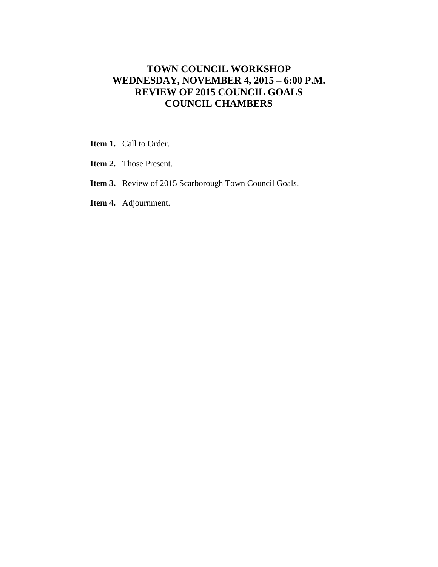# **TOWN COUNCIL WORKSHOP WEDNESDAY, NOVEMBER 4, 2015 – 6:00 P.M. REVIEW OF 2015 COUNCIL GOALS COUNCIL CHAMBERS**

- **Item 1.** Call to Order.
- **Item 2.** Those Present.
- **Item 3.** Review of 2015 Scarborough Town Council Goals.
- **Item 4.** Adjournment.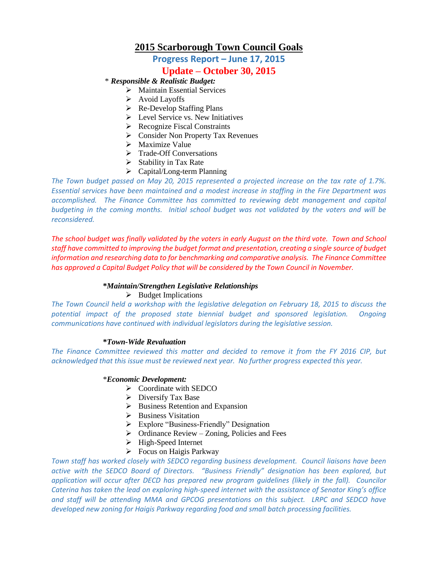## **2015 Scarborough Town Council Goals**

**Progress Report – June 17, 2015**

## **Update – October 30, 2015**

\* *Responsible & Realistic Budget:*

- > Maintain Essential Services
- $\triangleright$  Avoid Layoffs
- $\triangleright$  Re-Develop Staffing Plans
- $\triangleright$  Level Service vs. New Initiatives
- $\triangleright$  Recognize Fiscal Constraints
- Consider Non Property Tax Revenues
- > Maximize Value
- > Trade-Off Conversations
- $\triangleright$  Stability in Tax Rate
- $\triangleright$  Capital/Long-term Planning

*The Town budget passed on May 20, 2015 represented a projected increase on the tax rate of 1.7%. Essential services have been maintained and a modest increase in staffing in the Fire Department was accomplished. The Finance Committee has committed to reviewing debt management and capital budgeting in the coming months. Initial school budget was not validated by the voters and will be reconsidered.*

*The school budget was finally validated by the voters in early August on the third vote. Town and School staff have committed to improving the budget format and presentation, creating a single source of budget information and researching data to for benchmarking and comparative analysis. The Finance Committee has approved a Capital Budget Policy that will be considered by the Town Council in November.* 

## **\****Maintain/Strengthen Legislative Relationships*

## $\triangleright$  Budget Implications

*The Town Council held a workshop with the legislative delegation on February 18, 2015 to discuss the potential impact of the proposed state biennial budget and sponsored legislation. Ongoing communications have continued with individual legislators during the legislative session.*

## **\****Town-Wide Revaluation*

*The Finance Committee reviewed this matter and decided to remove it from the FY 2016 CIP, but acknowledged that this issue must be reviewed next year. No further progress expected this year.*

## \**Economic Development:*

- $\triangleright$  Coordinate with SEDCO
- $\triangleright$  Diversify Tax Base
- $\triangleright$  Business Retention and Expansion
- > Business Visitation
- Explore "Business-Friendly" Designation
- $\triangleright$  Ordinance Review Zoning, Policies and Fees
- > High-Speed Internet
- $\triangleright$  Focus on Haigis Parkway

*Town staff has worked closely with SEDCO regarding business development. Council liaisons have been active with the SEDCO Board of Directors. "Business Friendly" designation has been explored, but application will occur after DECD has prepared new program guidelines (likely in the fall). Councilor Caterina has taken the lead on exploring high-speed internet with the assistance of Senator King's office and staff will be attending MMA and GPCOG presentations on this subject. LRPC and SEDCO have developed new zoning for Haigis Parkway regarding food and small batch processing facilities.*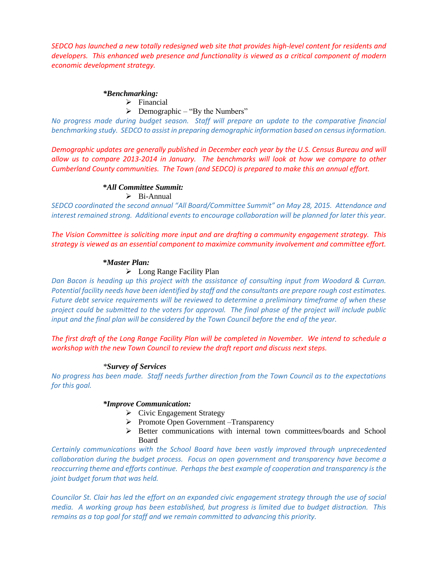*SEDCO has launched a new totally redesigned web site that provides high-level content for residents and developers. This enhanced web presence and functionality is viewed as a critical component of modern economic development strategy.*

#### *\*Benchmarking:*

 $\triangleright$  Financial

 $\triangleright$  Demographic – "By the Numbers"

*No progress made during budget season. Staff will prepare an update to the comparative financial benchmarking study. SEDCO to assist in preparing demographic information based on census information.*

*Demographic updates are generally published in December each year by the U.S. Census Bureau and will allow us to compare 2013-2014 in January. The benchmarks will look at how we compare to other Cumberland County communities. The Town (and SEDCO) is prepared to make this an annual effort.*

## **\****All Committee Summit:*

 $\triangleright$  Bi-Annual

*SEDCO coordinated the second annual "All Board/Committee Summit" on May 28, 2015. Attendance and interest remained strong. Additional events to encourage collaboration will be planned for later this year.*

*The Vision Committee is soliciting more input and are drafting a community engagement strategy. This strategy is viewed as an essential component to maximize community involvement and committee effort.*

#### **\****Master Plan:*

## Long Range Facility Plan

*Dan Bacon is heading up this project with the assistance of consulting input from Woodard & Curran. Potential facility needs have been identified by staff and the consultants are prepare rough cost estimates. Future debt service requirements will be reviewed to determine a preliminary timeframe of when these project could be submitted to the voters for approval. The final phase of the project will include public input and the final plan will be considered by the Town Council before the end of the year.* 

*The first draft of the Long Range Facility Plan will be completed in November. We intend to schedule a workshop with the new Town Council to review the draft report and discuss next steps.*

## *\*Survey of Services*

*No progress has been made. Staff needs further direction from the Town Council as to the expectations for this goal.*

## *\*Improve Communication:*

- $\triangleright$  Civic Engagement Strategy
- $\triangleright$  Promote Open Government –Transparency
- $\triangleright$  Better communications with internal town committees/boards and School Board

*Certainly communications with the School Board have been vastly improved through unprecedented collaboration during the budget process. Focus on open government and transparency have become a reoccurring theme and efforts continue. Perhaps the best example of cooperation and transparency is the joint budget forum that was held.*

*Councilor St. Clair has led the effort on an expanded civic engagement strategy through the use of social media. A working group has been established, but progress is limited due to budget distraction. This remains as a top goal for staff and we remain committed to advancing this priority.*